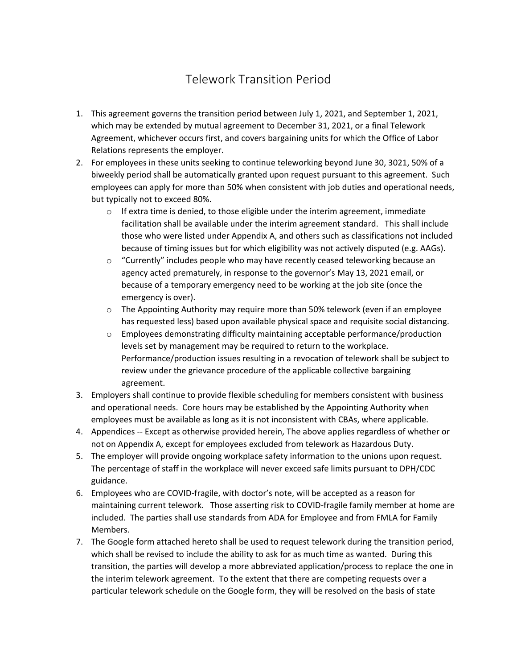## Telework Transition Period

- 1. This agreement governs the transition period between July 1, 2021, and September 1, 2021, which may be extended by mutual agreement to December 31, 2021, or a final Telework Agreement, whichever occurs first, and covers bargaining units for which the Office of Labor Relations represents the employer.
- 2. For employees in these units seeking to continue teleworking beyond June 30, 3021, 50% of a biweekly period shall be automatically granted upon request pursuant to this agreement. Such employees can apply for more than 50% when consistent with job duties and operational needs, but typically not to exceed 80%.
	- $\circ$  If extra time is denied, to those eligible under the interim agreement, immediate facilitation shall be available under the interim agreement standard. This shall include those who were listed under Appendix A, and others such as classifications not included because of timing issues but for which eligibility was not actively disputed (e.g. AAGs).
	- o "Currently" includes people who may have recently ceased teleworking because an agency acted prematurely, in response to the governor's May 13, 2021 email, or because of a temporary emergency need to be working at the job site (once the emergency is over).
	- $\circ$  The Appointing Authority may require more than 50% telework (even if an employee has requested less) based upon available physical space and requisite social distancing.
	- $\circ$  Employees demonstrating difficulty maintaining acceptable performance/production levels set by management may be required to return to the workplace. Performance/production issues resulting in a revocation of telework shall be subject to review under the grievance procedure of the applicable collective bargaining agreement.
- 3. Employers shall continue to provide flexible scheduling for members consistent with business and operational needs. Core hours may be established by the Appointing Authority when employees must be available as long as it is not inconsistent with CBAs, where applicable.
- 4. Appendices -- Except as otherwise provided herein, The above applies regardless of whether or not on Appendix A, except for employees excluded from telework as Hazardous Duty.
- 5. The employer will provide ongoing workplace safety information to the unions upon request. The percentage of staff in the workplace will never exceed safe limits pursuant to DPH/CDC guidance.
- 6. Employees who are COVID-fragile, with doctor's note, will be accepted as a reason for maintaining current telework. Those asserting risk to COVID-fragile family member at home are included. The parties shall use standards from ADA for Employee and from FMLA for Family Members.
- 7. The Google form attached hereto shall be used to request telework during the transition period, which shall be revised to include the ability to ask for as much time as wanted. During this transition, the parties will develop a more abbreviated application/process to replace the one in the interim telework agreement. To the extent that there are competing requests over a particular telework schedule on the Google form, they will be resolved on the basis of state